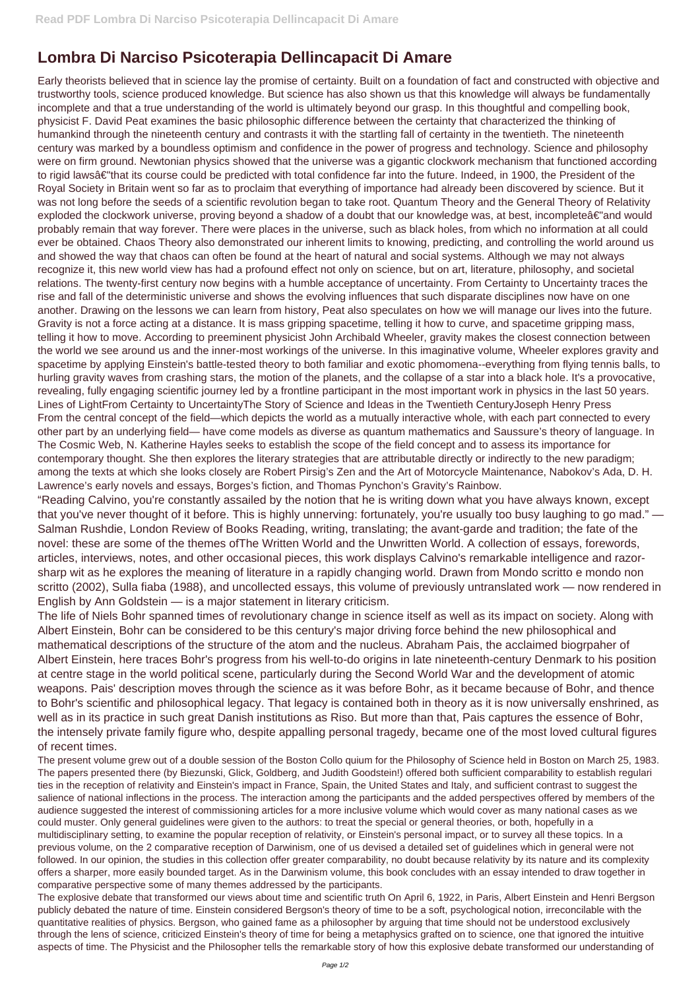## **Lombra Di Narciso Psicoterapia Dellincapacit Di Amare**

Early theorists believed that in science lay the promise of certainty. Built on a foundation of fact and constructed with objective and trustworthy tools, science produced knowledge. But science has also shown us that this knowledge will always be fundamentally incomplete and that a true understanding of the world is ultimately beyond our grasp. In this thoughtful and compelling book, physicist F. David Peat examines the basic philosophic difference between the certainty that characterized the thinking of humankind through the nineteenth century and contrasts it with the startling fall of certainty in the twentieth. The nineteenth century was marked by a boundless optimism and confidence in the power of progress and technology. Science and philosophy were on firm ground. Newtonian physics showed that the universe was a gigantic clockwork mechanism that functioned according to rigid lawsâ€"that its course could be predicted with total confidence far into the future. Indeed, in 1900, the President of the Royal Society in Britain went so far as to proclaim that everything of importance had already been discovered by science. But it was not long before the seeds of a scientific revolution began to take root. Quantum Theory and the General Theory of Relativity exploded the clockwork universe, proving beyond a shadow of a doubt that our knowledge was, at best, incompleteâ€"and would probably remain that way forever. There were places in the universe, such as black holes, from which no information at all could ever be obtained. Chaos Theory also demonstrated our inherent limits to knowing, predicting, and controlling the world around us and showed the way that chaos can often be found at the heart of natural and social systems. Although we may not always recognize it, this new world view has had a profound effect not only on science, but on art, literature, philosophy, and societal relations. The twenty-first century now begins with a humble acceptance of uncertainty. From Certainty to Uncertainty traces the rise and fall of the deterministic universe and shows the evolving influences that such disparate disciplines now have on one another. Drawing on the lessons we can learn from history, Peat also speculates on how we will manage our lives into the future. Gravity is not a force acting at a distance. It is mass gripping spacetime, telling it how to curve, and spacetime gripping mass, telling it how to move. According to preeminent physicist John Archibald Wheeler, gravity makes the closest connection between the world we see around us and the inner-most workings of the universe. In this imaginative volume, Wheeler explores gravity and spacetime by applying Einstein's battle-tested theory to both familiar and exotic phomomena--everything from flying tennis balls, to hurling gravity waves from crashing stars, the motion of the planets, and the collapse of a star into a black hole. It's a provocative, revealing, fully engaging scientific journey led by a frontline participant in the most important work in physics in the last 50 years. Lines of LightFrom Certainty to UncertaintyThe Story of Science and Ideas in the Twentieth CenturyJoseph Henry Press From the central concept of the field—which depicts the world as a mutually interactive whole, with each part connected to every other part by an underlying field— have come models as diverse as quantum mathematics and Saussure's theory of language. In The Cosmic Web, N. Katherine Hayles seeks to establish the scope of the field concept and to assess its importance for contemporary thought. She then explores the literary strategies that are attributable directly or indirectly to the new paradigm; among the texts at which she looks closely are Robert Pirsig's Zen and the Art of Motorcycle Maintenance, Nabokov's Ada, D. H. Lawrence's early novels and essays, Borges's fiction, and Thomas Pynchon's Gravity's Rainbow.

"Reading Calvino, you're constantly assailed by the notion that he is writing down what you have always known, except that you've never thought of it before. This is highly unnerving: fortunately, you're usually too busy laughing to go mad." — Salman Rushdie, London Review of Books Reading, writing, translating; the avant-garde and tradition; the fate of the novel: these are some of the themes ofThe Written World and the Unwritten World. A collection of essays, forewords, articles, interviews, notes, and other occasional pieces, this work displays Calvino's remarkable intelligence and razorsharp wit as he explores the meaning of literature in a rapidly changing world. Drawn from Mondo scritto e mondo non scritto (2002), Sulla fiaba (1988), and uncollected essays, this volume of previously untranslated work — now rendered in English by Ann Goldstein — is a major statement in literary criticism.

The life of Niels Bohr spanned times of revolutionary change in science itself as well as its impact on society. Along with Albert Einstein, Bohr can be considered to be this century's major driving force behind the new philosophical and mathematical descriptions of the structure of the atom and the nucleus. Abraham Pais, the acclaimed biogrpaher of Albert Einstein, here traces Bohr's progress from his well-to-do origins in late nineteenth-century Denmark to his position at centre stage in the world political scene, particularly during the Second World War and the development of atomic weapons. Pais' description moves through the science as it was before Bohr, as it became because of Bohr, and thence to Bohr's scientific and philosophical legacy. That legacy is contained both in theory as it is now universally enshrined, as well as in its practice in such great Danish institutions as Riso. But more than that, Pais captures the essence of Bohr, the intensely private family figure who, despite appalling personal tragedy, became one of the most loved cultural figures of recent times.

The present volume grew out of a double session of the Boston Collo quium for the Philosophy of Science held in Boston on March 25, 1983. The papers presented there (by Biezunski, Glick, Goldberg, and Judith Goodstein!) offered both sufficient comparability to establish regulari ties in the reception of relativity and Einstein's impact in France, Spain, the United States and Italy, and sufficient contrast to suggest the salience of national inflections in the process. The interaction among the participants and the added perspectives offered by members of the audience suggested the interest of commissioning articles for a more inclusive volume which would cover as many national cases as we could muster. Only general guidelines were given to the authors: to treat the special or general theories, or both, hopefully in a multidisciplinary setting, to examine the popular reception of relativity, or Einstein's personal impact, or to survey all these topics. In a previous volume, on the 2 comparative reception of Darwinism, one of us devised a detailed set of guidelines which in general were not followed. In our opinion, the studies in this collection offer greater comparability, no doubt because relativity by its nature and its complexity offers a sharper, more easily bounded target. As in the Darwinism volume, this book concludes with an essay intended to draw together in comparative perspective some of many themes addressed by the participants.

The explosive debate that transformed our views about time and scientific truth On April 6, 1922, in Paris, Albert Einstein and Henri Bergson publicly debated the nature of time. Einstein considered Bergson's theory of time to be a soft, psychological notion, irreconcilable with the quantitative realities of physics. Bergson, who gained fame as a philosopher by arguing that time should not be understood exclusively through the lens of science, criticized Einstein's theory of time for being a metaphysics grafted on to science, one that ignored the intuitive aspects of time. The Physicist and the Philosopher tells the remarkable story of how this explosive debate transformed our understanding of